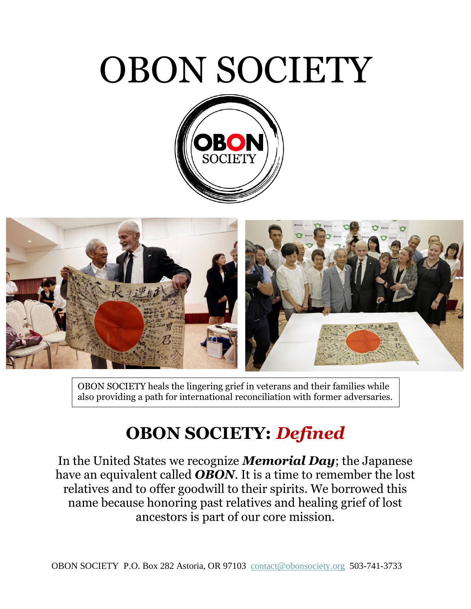# OBON SOCIETY





OBON SOCIETY heals the lingering grief in veterans and their families while also providing a path for international reconciliation with former adversaries.

## **OBON SOCIETY:** *Defined*

In the United States we recognize *Memorial Day*; the Japanese have an equivalent called *OBON*. It is a time to remember the lost relatives and to offer goodwill to their spirits. We borrowed this name because honoring past relatives and healing grief of lost ancestors is part of our core mission.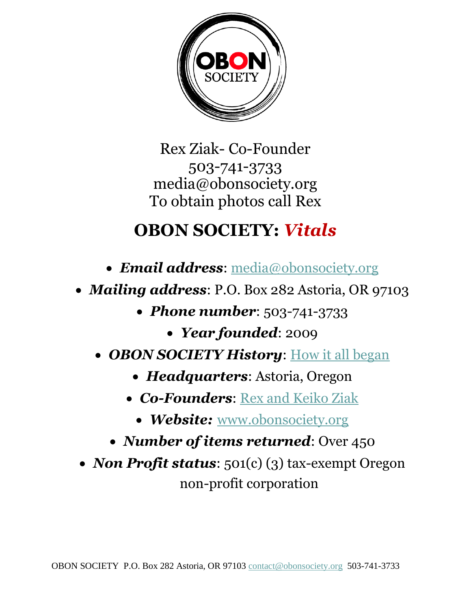

Rex Ziak- Co-Founder 503-741-3733 media@obonsociety.org To obtain photos call Rex

## **OBON SOCIETY:** *Vitals*

- *Email address*: [media@obonsociety.org](mailto:media@obonsociety.org)
- *Mailing address*: P.O. Box 282 Astoria, OR 97103
	- *Phone number*: 503-741-3733
		- *Year founded*: 2009
	- *OBON SOCIETY History*: [How it all began](https://obonsociety.org/eng/page/history)
		- *Headquarters*: Astoria, Oregon
		- *Co-Founders*: [Rex and Keiko Ziak](https://obonsociety.org/eng/page/our-team)
			- *Website:* [www.obonsociety.org](http://www.obonsociety.org/)
		- *Number of items returned*: Over 450
- *Non Profit status*: 501(c) (3) tax-exempt Oregon non-profit corporation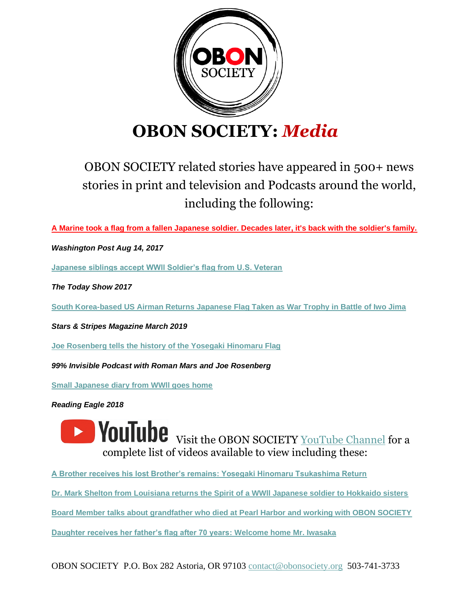

#### **OBON SOCIETY:** *Media*

#### OBON SOCIETY related stories have appeared in 500+ news stories in print and television and Podcasts around the world, including the following:

**[A Marine took a flag from a fallen Japanese soldier. Decades later, it's back with the soldier's family.](https://www.washingtonpost.com/world/a-marine-took-a-flag-from-a-dead-japanese-soldiers-body-seventy-three-years-later-its-back-with-the-soldiers-family/2017/08/15/e8dbb448-810b-11e7-9e7a-20fa8d7a0db6_story.html)**

*Washington Post Aug 14, 2017* 

**[Japanese siblings accept WWll Soldier's flag from U.S. Veteran](https://www.youtube.com/watch?v=jmARJXHJM-M)**

*The Today Show 2017*

**[South Korea-based US Airman Returns Japanese Flag Taken as War Trophy in Battle of Iwo Jima](https://www.stripes.com/news/s-korea-based-us-airman-returns-japanese-flag-taken-as-war-trophy-in-battle-of-iwo-jima-1.568610)**

*Stars & Stripes Magazine March 2019* 

**[Joe Rosenberg tells the history of the Yosegaki Hinomaru Flag](https://www.youtube.com/watch?v=9JyOYk7N5bM)**

*99% Invisible Podcast with Roman Mars and Joe Rosenberg* 

**[Small Japanese diary from WWll goes home](https://www.youtube.com/watch?v=E2bmM8EE6Yk)**

*Reading Eagle 2018*

**1 VouTube** Visit the OBON SOCIETY [YouTube Channel](https://www.youtube.com/c/OBONSOCIETY) for a complete list of videos available to view including these:

**[A Brother receives his lost Brother's remains: Yosegaki Hinomaru Tsukashima Return](https://www.youtube.com/watch?v=HuqtOWDB0ZQ)**

**[Dr. Mark Shelton from Louisiana returns the Spirit of a WWll Japanese soldier to Hokkaido sisters](https://www.youtube.com/watch?v=CP5Dxh8u-PY)**

**[Board Member talks about grandfather who died at Pearl Harbor and working with OBON SOCIETY](https://www.youtube.com/watch?v=gOF6ONmNpP8)**

**[Daughter receives her father's flag after 70 years: Welcome home Mr. Iwasaka](https://www.youtube.com/watch?v=rLxA97yQX-M)**

OBON SOCIETY P.O. Box 282 Astoria, OR 97103 [contact@obonsociety.org](mailto:contact@obonsociety.org) 503-741-3733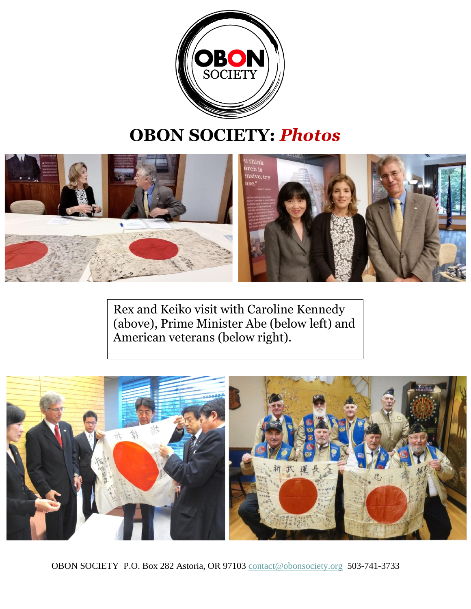

### **OBON SOCIETY:** *Photos*



Rex and Keiko visit with Caroline Kennedy (above), Prime Minister Abe (below left) and American veterans (below right).



OBON SOCIETY P.O. Box 282 Astoria, OR 97103 [contact@obonsociety.org](mailto:contact@obonsociety.org) 503-741-3733